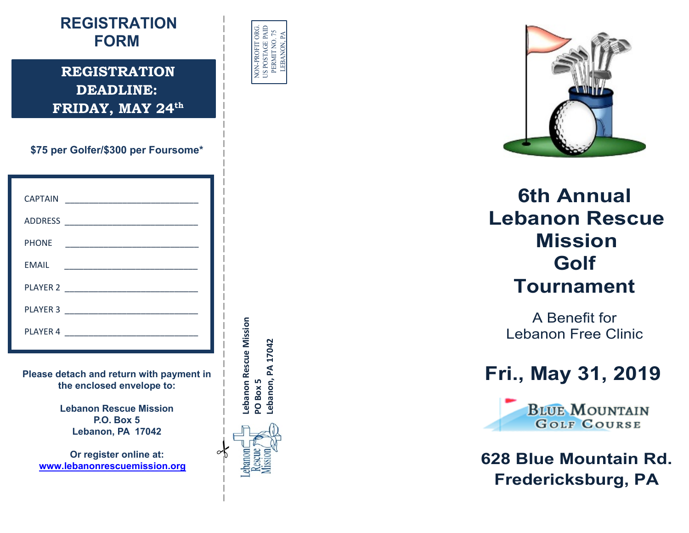## **REGISTRATION FORM**

**REGISTRATION DEADLINE: FRIDAY, MAY 24th**

**\$75 per Golfer/\$300 per Foursome\***

| <b>CAPTAIN</b> |                                                                                           |
|----------------|-------------------------------------------------------------------------------------------|
|                |                                                                                           |
| <b>PHONE</b>   | <u> 1989 - Johann Stein, mars and de Britannich (b. 1989)</u>                             |
| <b>EMAIL</b>   | the control of the control of the control of the control of the control of the control of |
|                | PLAYER 2                                                                                  |
|                | PLAYER 3                                                                                  |
| PLAYER 4       | <u> 1980 - Jan James James Barbara, manala</u>                                            |

**Please detach and return with payment in the enclosed envelope to:**

> **Lebanon Rescue Mission P.O. Box 5 Lebanon, PA 17042**

**Or register online at: [www.lebanonrescuemission.org](http://www.lebanonrescuemission.org/)**





**6th Annual Lebanon Rescue Mission Golf Tournament**

A Benefit for Lebanon Free Clinic

## **Fri., May 31, 201 9**



**628 Blue Mountain Rd. Fredericksburg, PA**